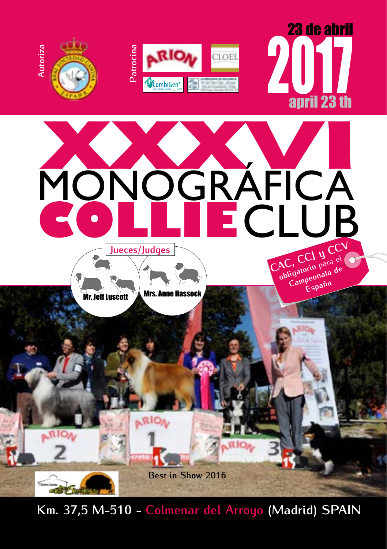

**[Km. 37,5 M-510 - Colmenar del Arroyo](http://www.entrencinas.com) (Madrid) SPAIN**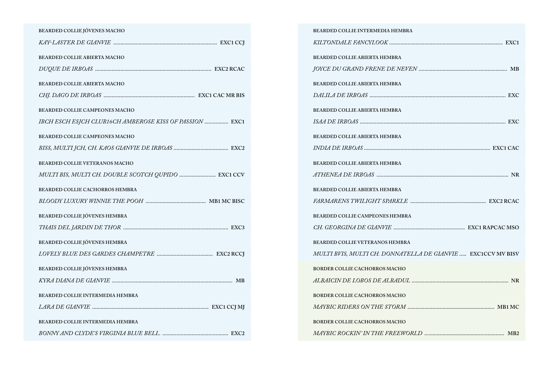| BEARDED COLLIE JÓVENES MACHO                            |
|---------------------------------------------------------|
|                                                         |
| <b>BEARDED COLLIE ABIERTA MACHO</b>                     |
|                                                         |
| BEARDED COLLIE ABIERTA MACHO                            |
|                                                         |
| <b>BEARDED COLLIE CAMPEONES MACHO</b>                   |
| IBCH ESCH ESJCH CLUB16CH AMBEROSE KISS OF PASSION  EXC1 |
| <b>BEARDED COLLIE CAMPEONES MACHO</b>                   |
|                                                         |
| <b>BEARDED COLLIE VETERANOS MACHO</b>                   |
| MULTI BIS, MULTI CH. DOUBLE SCOTCH QUPIDO  EXC1 CCV     |
| BEARDED COLLIE CACHORROS HEMBRA                         |
|                                                         |
| BEARDED COLLIE JÓVENES HEMBRA                           |
|                                                         |
| <b>BEARDED COLLIE JÓVENES HEMBRA</b>                    |
|                                                         |
| BEARDED COLLIE JÓVENES HEMBRA                           |
|                                                         |
| BEARDED COLLIE INTERMEDIA HEMBRA                        |
|                                                         |
| BEARDED COLLIE INTERMEDIA HEMBRA                        |
|                                                         |

| BEARDED COLLIE INTERMEDIA HEMBRA                             |
|--------------------------------------------------------------|
|                                                              |
| <b>BEARDED COLLIE ABIERTA HEMBRA</b>                         |
|                                                              |
| BEARDED COLLIE ABIERTA HEMBRA                                |
|                                                              |
| BEARDED COLLIE ABIERTA HEMBRA                                |
|                                                              |
| BEARDED COLLIE ABIERTA HEMBRA                                |
|                                                              |
| BEARDED COLLIE ABIERTA HEMBRA                                |
|                                                              |
| BEARDED COLLIE ABIERTA HEMBRA                                |
|                                                              |
| BEARDED COLLIE CAMPEONES HEMBRA                              |
|                                                              |
| <b>BEARDED COLLIE VETERANOS HEMBRA</b>                       |
| MULTI BVIS, MULTI CH. DONNATELLA DE GIANVIE  EXC1CCV MV BISV |
| <b>BORDER COLLIE CACHORROS MACHO</b>                         |
|                                                              |
| <b>BORDER COLLIE CACHORROS MACHO</b>                         |
|                                                              |
| <b>BORDER COLLIE CACHORROS MACHO</b>                         |
|                                                              |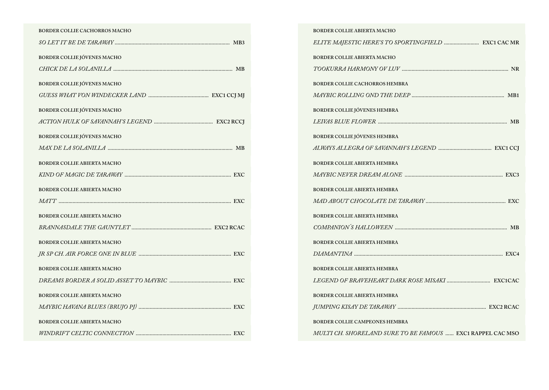| <b>BORDER COLLIE CACHORROS MACHO</b> |
|--------------------------------------|
|                                      |
| <b>BORDER COLLIE JÓVENES MACHO</b>   |
|                                      |
| <b>BORDER COLLIE JÓVENES MACHO</b>   |
|                                      |
| <b>BORDER COLLIE JÓVENES MACHO</b>   |
|                                      |
| <b>BORDER COLLIE JÓVENES MACHO</b>   |
|                                      |
| <b>BORDER COLLIE ABIERTA MACHO</b>   |
|                                      |
| <b>BORDER COLLIE ABIERTA MACHO</b>   |
|                                      |
| <b>BORDER COLLIE ABIERTA MACHO</b>   |
|                                      |
| <b>BORDER COLLIE ABIERTA MACHO</b>   |
|                                      |
| <b>BORDER COLLIE ABIERTA MACHO</b>   |
|                                      |
| <b>BORDER COLLIE ABIERTA MACHO</b>   |
|                                      |
| <b>BORDER COLLIE ABIERTA MACHO</b>   |
|                                      |

| <b>BORDER COLLIE ABIERTA MACHO</b>                         |
|------------------------------------------------------------|
|                                                            |
| <b>BORDER COLLIE ABIERTA MACHO</b>                         |
|                                                            |
| BORDER COLLIE CACHORROS HEMBRA                             |
|                                                            |
| <b>BORDER COLLIE JÓVENES HEMBRA</b>                        |
|                                                            |
| <b>BORDER COLLIE JÓVENES HEMBRA</b>                        |
|                                                            |
| <b>BORDER COLLIE ABIERTA HEMBRA</b>                        |
|                                                            |
| <b>BORDER COLLIE ABIERTA HEMBRA</b>                        |
|                                                            |
| <b>BORDER COLLIE ABIERTA HEMBRA</b>                        |
|                                                            |
| <b>BORDER COLLIE ABIERTA HEMBRA</b>                        |
|                                                            |
| <b>BORDER COLLIE ABIERTA HEMBRA</b>                        |
|                                                            |
| <b>BORDER COLLIE ABIERTA HEMBRA</b>                        |
|                                                            |
| <b>BORDER COLLIE CAMPEONES HEMBRA</b>                      |
| MULTI CH. SHORELAND SURE TO BE FAMOUS  EXC1 RAPPEL CAC MSO |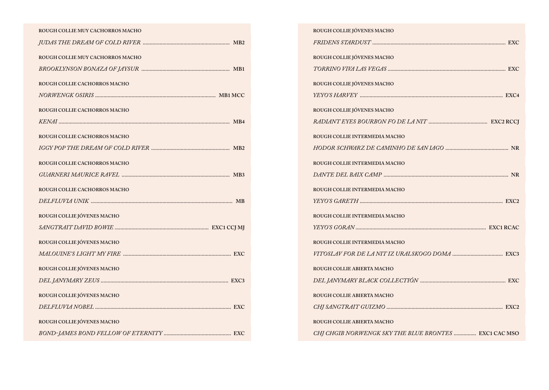| ROUGH COLLIE MUY CACHORROS MACHO |
|----------------------------------|
|                                  |
| ROUGH COLLIE MUY CACHORROS MACHO |
|                                  |
| ROUGH COLLIE CACHORROS MACHO     |
|                                  |
| ROUGH COLLIE CACHORROS MACHO     |
|                                  |
| ROUGH COLLIE CACHORROS MACHO     |
|                                  |
| ROUGH COLLIE CACHORROS MACHO     |
|                                  |
| ROUGH COLLIE CACHORROS MACHO     |
|                                  |
|                                  |
| ROUGH COLLIE JÓVENES MACHO       |
|                                  |
| ROUGH COLLIE JÓVENES MACHO       |
|                                  |
| ROUGH COLLIE JÓVENES MACHO       |
|                                  |
| ROUGH COLLIE JÓVENES MACHO       |
|                                  |
| ROUGH COLLIE JÓVENES MACHO       |

| ROUGH COLLIE JÓVENES MACHO                            |
|-------------------------------------------------------|
|                                                       |
| ROUGH COLLIE JÓVENES MACHO                            |
|                                                       |
| ROUGH COLLIE JÓVENES MACHO                            |
|                                                       |
| ROUGH COLLIE JÓVENES MACHO                            |
|                                                       |
| ROUGH COLLIE INTERMEDIA MACHO                         |
|                                                       |
| ROUGH COLLIE INTERMEDIA MACHO                         |
|                                                       |
| ROUGH COLLIE INTERMEDIA MACHO                         |
|                                                       |
| ROUGH COLLIE INTERMEDIA MACHO                         |
|                                                       |
| ROUGH COLLIE INTERMEDIA MACHO                         |
|                                                       |
| ROUGH COLLIE ABIERTA MACHO                            |
|                                                       |
| ROUGH COLLIE ABIERTA MACHO                            |
|                                                       |
| ROUGH COLLIE ABIERTA MACHO                            |
| CHJ CHGIB NORWENGK SKY THE BLUE BRONTES  EXC1 CAC MSO |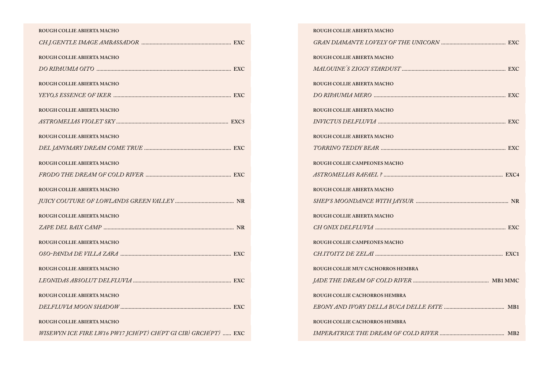## **Rough Collie Abierta Macho**

| ROUGH COLLIE ABIERTA MACHO                                     |
|----------------------------------------------------------------|
|                                                                |
| ROUGH COLLIE ABIERTA MACHO                                     |
|                                                                |
| ROUGH COLLIE ABIERTA MACHO                                     |
|                                                                |
| ROUGH COLLIE ABIERTA MACHO                                     |
|                                                                |
| ROUGH COLLIE ABIERTA MACHO                                     |
|                                                                |
| ROUGH COLLIE ABIERTA MACHO                                     |
|                                                                |
| ROUGH COLLIE ABIERTA MACHO                                     |
|                                                                |
| ROUGH COLLIE ABIERTA MACHO                                     |
|                                                                |
| ROUGH COLLIE ABIERTA MACHO                                     |
|                                                                |
| ROUGH COLLIE ABIERTA MACHO                                     |
|                                                                |
| ROUGH COLLIE ABIERTA MACHO                                     |
| WISEWYN ICE FIRE LW16 PW17 JCH(PT) CH(PT GI CIB) GRCH(PT)  EXC |

| ROUGH COLLIE ABIERTA MACHO        |  |
|-----------------------------------|--|
|                                   |  |
| ROUGH COLLIE ABIERTA MACHO        |  |
|                                   |  |
| ROUGH COLLIE ABIERTA MACHO        |  |
|                                   |  |
| ROUGH COLLIE ABIERTA MACHO        |  |
|                                   |  |
| ROUGH COLLIE ABIERTA MACHO        |  |
|                                   |  |
| ROUGH COLLIE CAMPEONES MACHO      |  |
|                                   |  |
| ROUGH COLLIE ABIERTA MACHO        |  |
|                                   |  |
| ROUGH COLLIE ABIERTA MACHO        |  |
|                                   |  |
| ROUGH COLLIE CAMPEONES MACHO      |  |
|                                   |  |
| ROUGH COLLIE MUY CACHORROS HEMBRA |  |
|                                   |  |
| ROUGH COLLIE CACHORROS HEMBRA     |  |
|                                   |  |
| ROUGH COLLIE CACHORROS HEMBRA     |  |
|                                   |  |
|                                   |  |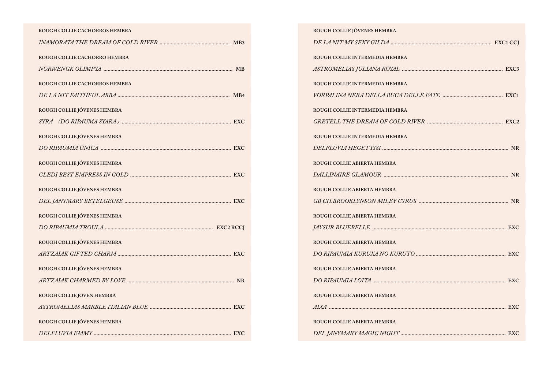| ROUGH COLLIE CACHORROS HEMBRA |
|-------------------------------|
|                               |
| ROUGH COLLIE CACHORRO HEMBRA  |
|                               |
| ROUGH COLLIE CACHORROS HEMBRA |
|                               |
| ROUGH COLLIE JÓVENES HEMBRA   |
|                               |
| ROUGH COLLIE JÓVENES HEMBRA   |
|                               |
| ROUGH COLLIE JÓVENES HEMBRA   |
|                               |
| ROUGH COLLIE JÓVENES HEMBRA   |
|                               |
| ROUGH COLLIE JÓVENES HEMBRA   |
|                               |
| ROUGH COLLIE JÓVENES HEMBRA   |
|                               |
| ROUGH COLLIE JÓVENES HEMBRA   |
|                               |
| ROUGH COLLIE JOVEN HEMBRA     |
|                               |
| ROUGH COLLIE JÓVENES HEMBRA   |
|                               |

| ROUGH COLLIE JÓVENES HEMBRA    |
|--------------------------------|
|                                |
| ROUGH COLLIE INTERMEDIA HEMBRA |
|                                |
| ROUGH COLLIE INTERMEDIA HEMBRA |
|                                |
| ROUGH COLLIE INTERMEDIA HEMBRA |
|                                |
| ROUGH COLLIE INTERMEDIA HEMBRA |
|                                |
| ROUGH COLLIE ABIERTA HEMBRA    |
|                                |
| ROUGH COLLIE ABIERTA HEMBRA    |
|                                |
| ROUGH COLLIE ABIERTA HEMBRA    |
|                                |
| ROUGH COLLIE ABIERTA HEMBRA    |
|                                |
| ROUGH COLLIE ABIERTA HEMBRA    |
|                                |
| ROUGH COLLIE ABIERTA HEMBRA    |
|                                |
| ROUGH COLLIE ABIERTA HEMBRA    |
|                                |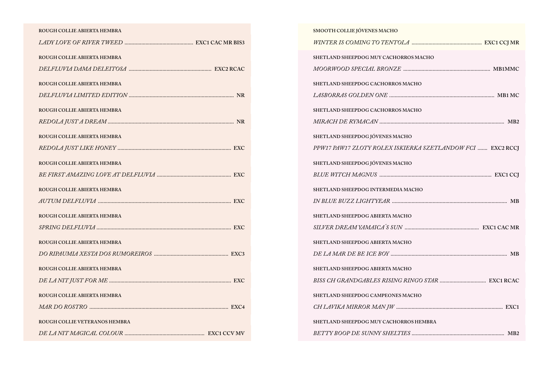| ROUGH COLLIE ABIERTA HEMBRA   |
|-------------------------------|
|                               |
| ROUGH COLLIE ABIERTA HEMBRA   |
|                               |
| ROUGH COLLIE ABIERTA HEMBRA   |
|                               |
| ROUGH COLLIE ABIERTA HEMBRA   |
|                               |
|                               |
| ROUGH COLLIE ABIERTA HEMBRA   |
|                               |
| ROUGH COLLIE ABIERTA HEMBRA   |
|                               |
| ROUGH COLLIE ABIERTA HEMBRA   |
|                               |
| ROUGH COLLIE ABIERTA HEMBRA   |
|                               |
| ROUGH COLLIE ABIERTA HEMBRA   |
|                               |
| ROUGH COLLIE ABIERTA HEMBRA   |
|                               |
|                               |
| ROUGH COLLIE ABIERTA HEMBRA   |
|                               |
| ROUGH COLLIE VETERANOS HEMBRA |
|                               |

| SMOOTH COLLIE JÓVENES MACHO                                |
|------------------------------------------------------------|
|                                                            |
| SHETLAND SHEEPDOG MUY CACHORROS MACHO                      |
|                                                            |
| SHETLAND SHEEPDOG CACHORROS MACHO                          |
|                                                            |
| SHETLAND SHEEPDOG CACHORROS MACHO                          |
|                                                            |
| SHETLAND SHEEPDOG JÓVENES MACHO                            |
| PPW17 PAW17 ZLOTY ROLEX ISKIERKA SZETLANDOW FCI  EXC2 RCCI |
| SHETLAND SHEEPDOG JÓVENES MACHO                            |
|                                                            |
| SHETLAND SHEEPDOG INTERMEDIA MACHO                         |
|                                                            |
| SHETLAND SHEEPDOG ABIERTA MACHO                            |
|                                                            |
| SHETLAND SHEEPDOG ABIERTA MACHO                            |
|                                                            |
| SHETLAND SHEEPDOG ABIERTA MACHO                            |
|                                                            |
| SHETLAND SHEEPDOG CAMPEONES MACHO                          |
|                                                            |
| SHETLAND SHEEPDOG MUY CACHORROS HEMBRA                     |
|                                                            |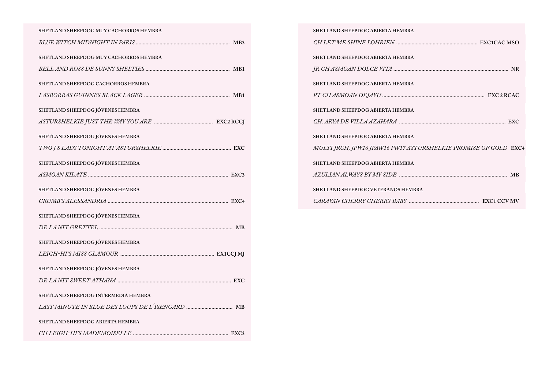| SHETLAND SHEEPDOG MUY CACHORROS HEMBRA |
|----------------------------------------|
|                                        |
| SHETLAND SHEEPDOG MUY CACHORROS HEMBRA |
|                                        |
| SHETLAND SHEEPDOG CACHORROS HEMBRA     |
|                                        |
| SHETLAND SHEEPDOG JÓVENES HEMBRA       |
|                                        |
| SHETLAND SHEEPDOG JÓVENES HEMBRA       |
|                                        |
| SHETLAND SHEEPDOG JÓVENES HEMBRA       |
|                                        |
| SHETLAND SHEEPDOG JÓVENES HEMBRA       |
|                                        |
|                                        |
| SHETLAND SHEEPDOG JÓVENES HEMBRA       |
|                                        |
| SHETLAND SHEEPDOG JÓVENES HEMBRA       |
|                                        |
| SHETLAND SHEEPDOG JÓVENES HEMBRA       |
|                                        |
| SHETLAND SHEEPDOG INTERMEDIA HEMBRA    |
|                                        |
| SHETLAND SHEEPDOG ABIERTA HEMBRA       |

| SHETLAND SHEEPDOG ABIERTA HEMBRA                                |
|-----------------------------------------------------------------|
|                                                                 |
| SHETLAND SHEEPDOG ABIERTA HEMBRA                                |
|                                                                 |
| SHETLAND SHEEPDOG ABIERTA HEMBRA                                |
|                                                                 |
| SHETLAND SHEEPDOG ABIERTA HEMBRA                                |
|                                                                 |
| SHETLAND SHEEPDOG ABIERTA HEMBRA                                |
| MULTI JRCH, JPW16 JPAW16 PW17 ASTURSHELKIE PROMISE OF GOLD EXC4 |
| SHETLAND SHEEPDOG ABIERTA HEMBRA                                |
|                                                                 |
| SHETLAND SHEEPDOG VETERANOS HEMBRA                              |
|                                                                 |
|                                                                 |